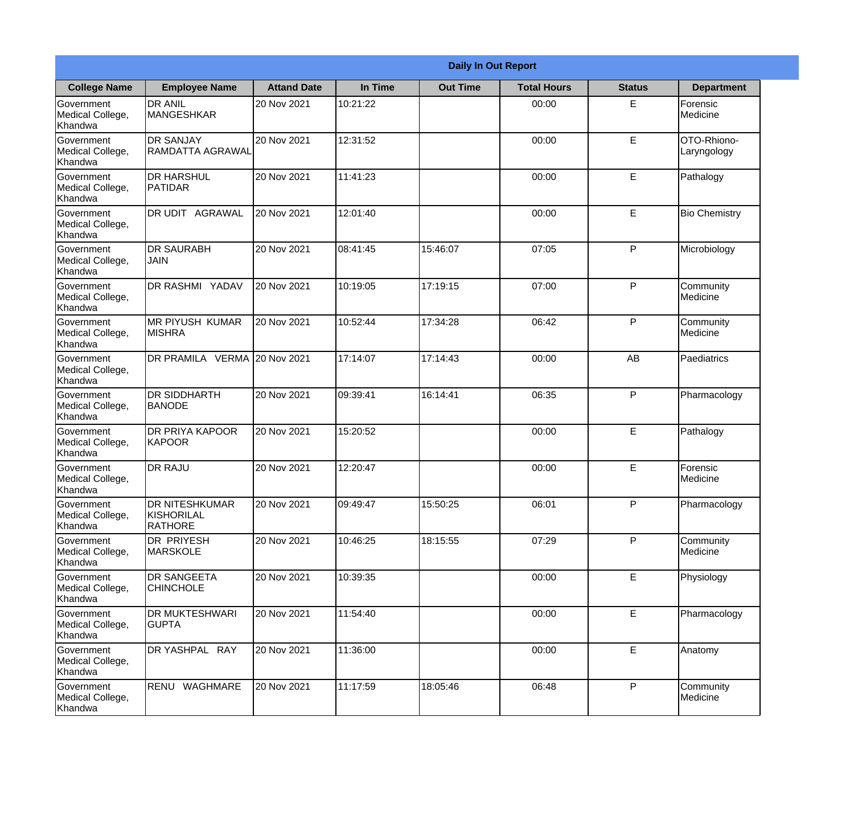|                                                  | <b>Daily In Out Report</b>                            |                    |          |                 |                    |               |                            |
|--------------------------------------------------|-------------------------------------------------------|--------------------|----------|-----------------|--------------------|---------------|----------------------------|
| <b>College Name</b>                              | <b>Employee Name</b>                                  | <b>Attand Date</b> | In Time  | <b>Out Time</b> | <b>Total Hours</b> | <b>Status</b> | <b>Department</b>          |
| Government<br>Medical College,<br>Khandwa        | <b>DR ANIL</b><br><b>MANGESHKAR</b>                   | 20 Nov 2021        | 10:21:22 |                 | 00:00              | E             | Forensic<br>Medicine       |
| Government<br>Medical College,<br>Khandwa        | <b>DR SANJAY</b><br>RAMDATTA AGRAWAL                  | 20 Nov 2021        | 12:31:52 |                 | 00:00              | E             | OTO-Rhiono-<br>Laryngology |
| <b>Government</b><br>Medical College,<br>Khandwa | <b>DR HARSHUL</b><br>PATIDAR                          | 20 Nov 2021        | 11:41:23 |                 | 00:00              | E             | Pathalogy                  |
| <b>Government</b><br>Medical College,<br>Khandwa | DR UDIT AGRAWAL                                       | 20 Nov 2021        | 12:01:40 |                 | 00:00              | E             | <b>Bio Chemistry</b>       |
| Government<br>Medical College,<br>Khandwa        | <b>DR SAURABH</b><br>JAIN                             | 20 Nov 2021        | 08:41:45 | 15:46:07        | 07:05              | P             | Microbiology               |
| Government<br>Medical College,<br>Khandwa        | <b>DR RASHMI YADAV</b>                                | 20 Nov 2021        | 10:19:05 | 17:19:15        | 07:00              | P             | Community<br>Medicine      |
| Government<br>Medical College,<br>Khandwa        | <b>MR PIYUSH KUMAR</b><br><b>MISHRA</b>               | 20 Nov 2021        | 10:52:44 | 17:34:28        | 06:42              | P             | Community<br>Medicine      |
| Government<br>Medical College,<br>Khandwa        | DR PRAMILA VERMA                                      | 20 Nov 2021        | 17:14:07 | 17:14:43        | 00:00              | AB            | Paediatrics                |
| Government<br>Medical College,<br>Khandwa        | <b>DR SIDDHARTH</b><br><b>BANODE</b>                  | 20 Nov 2021        | 09:39:41 | 16:14:41        | 06:35              | P             | Pharmacology               |
| Government<br>Medical College,<br>Khandwa        | <b>DR PRIYA KAPOOR</b><br>KAPOOR                      | 20 Nov 2021        | 15:20:52 |                 | 00:00              | E             | Pathalogy                  |
| Government<br>Medical College,<br>Khandwa        | <b>DR RAJU</b>                                        | 20 Nov 2021        | 12:20:47 |                 | 00:00              | E             | Forensic<br>Medicine       |
| Government<br>Medical College,<br>Khandwa        | <b>DR NITESHKUMAR</b><br>KISHORILAL<br><b>RATHORE</b> | 20 Nov 2021        | 09:49:47 | 15:50:25        | 06:01              | P             | Pharmacology               |
| Government<br>Medical College,<br>Khandwa        | <b>DR PRIYESH</b><br><b>MARSKOLE</b>                  | 20 Nov 2021        | 10:46:25 | 18:15:55        | 07:29              | P             | Community<br>Medicine      |
| Government<br>Medical College,<br>Khandwa        | DR SANGEETA<br><b>CHINCHOLE</b>                       | 20 Nov 2021        | 10:39:35 |                 | 00:00              | E             | Physiology                 |
| Government<br>Medical College,<br>Khandwa        | <b>DR MUKTESHWARI</b><br><b>GUPTA</b>                 | 20 Nov 2021        | 11:54:40 |                 | 00:00              | E             | Pharmacology               |
| Government<br>Medical College,<br>Khandwa        | DR YASHPAL RAY                                        | 20 Nov 2021        | 11:36:00 |                 | 00:00              | E             | Anatomy                    |
| Government<br>Medical College,<br>Khandwa        | RENU WAGHMARE                                         | 20 Nov 2021        | 11:17:59 | 18:05:46        | 06:48              | P             | Community<br>Medicine      |